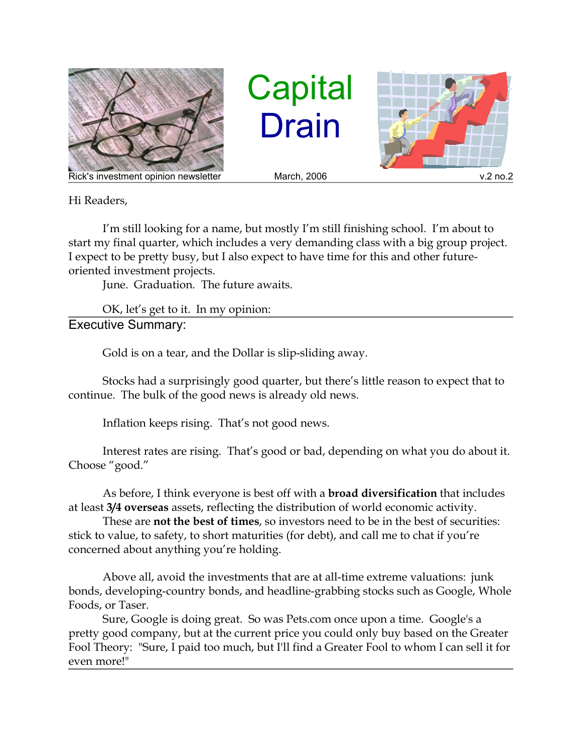

**Capital** Drain



Hi Readers,

I'm still looking for a name, but mostly I'm still finishing school. I'm about to start my final quarter, which includes a very demanding class with a big group project. I expect to be pretty busy, but I also expect to have time for this and other futureoriented investment projects.

June. Graduation. The future awaits.

OK, let's get to it. In my opinion: Executive Summary:

Gold is on a tear, and the Dollar is slip-sliding away.

Stocks had a surprisingly good quarter, but there's little reason to expect that to continue. The bulk of the good news is already old news.

Inflation keeps rising. That's not good news.

Interest rates are rising. That's good or bad, depending on what you do about it. Choose "good."

As before, I think everyone is best off with a **broad diversification** that includes at least **3/4 overseas** assets, reflecting the distribution of world economic activity.

These are **not the best of times**, so investors need to be in the best of securities: stick to value, to safety, to short maturities (for debt), and call me to chat if you're concerned about anything you're holding.

Above all, avoid the investments that are at all-time extreme valuations: junk bonds, developing-country bonds, and headline-grabbing stocks such as Google, Whole Foods, or Taser.

Sure, Google is doing great. So was Pets.com once upon a time. Google's a pretty good company, but at the current price you could only buy based on the Greater Fool Theory: "Sure, I paid too much, but I'll find a Greater Fool to whom I can sell it for even more!"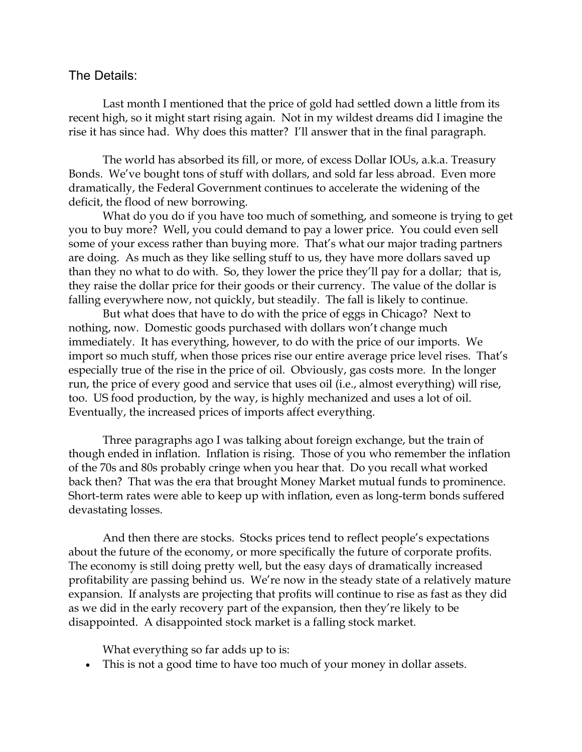## The Details:

Last month I mentioned that the price of gold had settled down a little from its recent high, so it might start rising again. Not in my wildest dreams did I imagine the rise it has since had. Why does this matter? I'll answer that in the final paragraph.

The world has absorbed its fill, or more, of excess Dollar IOUs, a.k.a. Treasury Bonds. We've bought tons of stuff with dollars, and sold far less abroad. Even more dramatically, the Federal Government continues to accelerate the widening of the deficit, the flood of new borrowing.

What do you do if you have too much of something, and someone is trying to get you to buy more? Well, you could demand to pay a lower price. You could even sell some of your excess rather than buying more. That's what our major trading partners are doing. As much as they like selling stuff to us, they have more dollars saved up than they no what to do with. So, they lower the price they'll pay for a dollar; that is, they raise the dollar price for their goods or their currency. The value of the dollar is falling everywhere now, not quickly, but steadily. The fall is likely to continue.

But what does that have to do with the price of eggs in Chicago? Next to nothing, now. Domestic goods purchased with dollars won't change much immediately. It has everything, however, to do with the price of our imports. We import so much stuff, when those prices rise our entire average price level rises. That's especially true of the rise in the price of oil. Obviously, gas costs more. In the longer run, the price of every good and service that uses oil (i.e., almost everything) will rise, too. US food production, by the way, is highly mechanized and uses a lot of oil. Eventually, the increased prices of imports affect everything.

Three paragraphs ago I was talking about foreign exchange, but the train of though ended in inflation. Inflation is rising. Those of you who remember the inflation of the 70s and 80s probably cringe when you hear that. Do you recall what worked back then? That was the era that brought Money Market mutual funds to prominence. Short-term rates were able to keep up with inflation, even as long-term bonds suffered devastating losses.

And then there are stocks. Stocks prices tend to reflect people's expectations about the future of the economy, or more specifically the future of corporate profits. The economy is still doing pretty well, but the easy days of dramatically increased profitability are passing behind us. We're now in the steady state of a relatively mature expansion. If analysts are projecting that profits will continue to rise as fast as they did as we did in the early recovery part of the expansion, then they're likely to be disappointed. A disappointed stock market is a falling stock market.

What everything so far adds up to is:

This is not a good time to have too much of your money in dollar assets.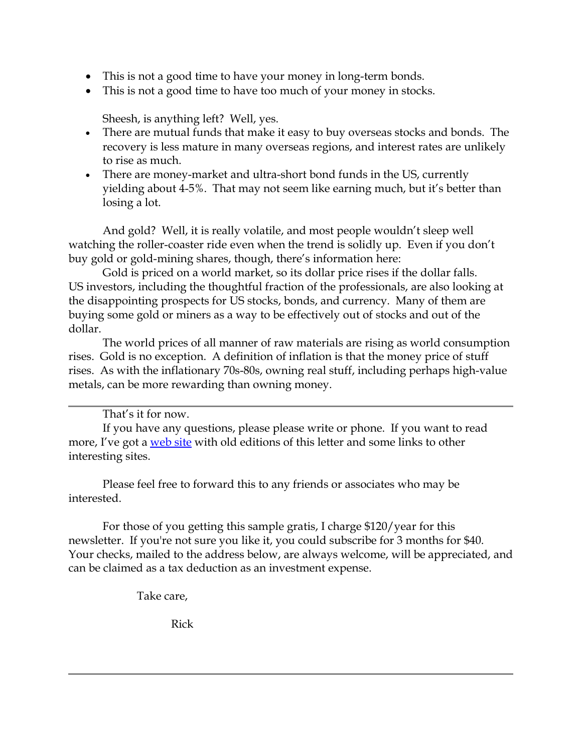- This is not a good time to have your money in long-term bonds.
- This is not a good time to have too much of your money in stocks.

Sheesh, is anything left? Well, yes.

- There are mutual funds that make it easy to buy overseas stocks and bonds. The recovery is less mature in many overseas regions, and interest rates are unlikely to rise as much.
- There are money-market and ultra-short bond funds in the US, currently yielding about 4-5%. That may not seem like earning much, but it's better than losing a lot.

And gold? Well, it is really volatile, and most people wouldn't sleep well watching the roller-coaster ride even when the trend is solidly up. Even if you don't buy gold or gold-mining shares, though, there's information here:

Gold is priced on a world market, so its dollar price rises if the dollar falls. US investors, including the thoughtful fraction of the professionals, are also looking at the disappointing prospects for US stocks, bonds, and currency. Many of them are buying some gold or miners as a way to be effectively out of stocks and out of the dollar.

The world prices of all manner of raw materials are rising as world consumption rises. Gold is no exception. A definition of inflation is that the money price of stuff rises. As with the inflationary 70s-80s, owning real stuff, including perhaps high-value metals, can be more rewarding than owning money.

That's it for now.

If you have any questions, please please write or phone. If you want to read more, I've got a web site with old editions of this letter and some links to other interesting sites.

Please feel free to forward this to any friends or associates who may be interested.

For those of you getting this sample gratis, I charge \$120/year for this newsletter. If you're not sure you like it, you could subscribe for 3 months for \$40. Your checks, mailed to the address below, are always welcome, will be appreciated, and can be claimed as a tax deduction as an investment expense.

Take care,

Rick